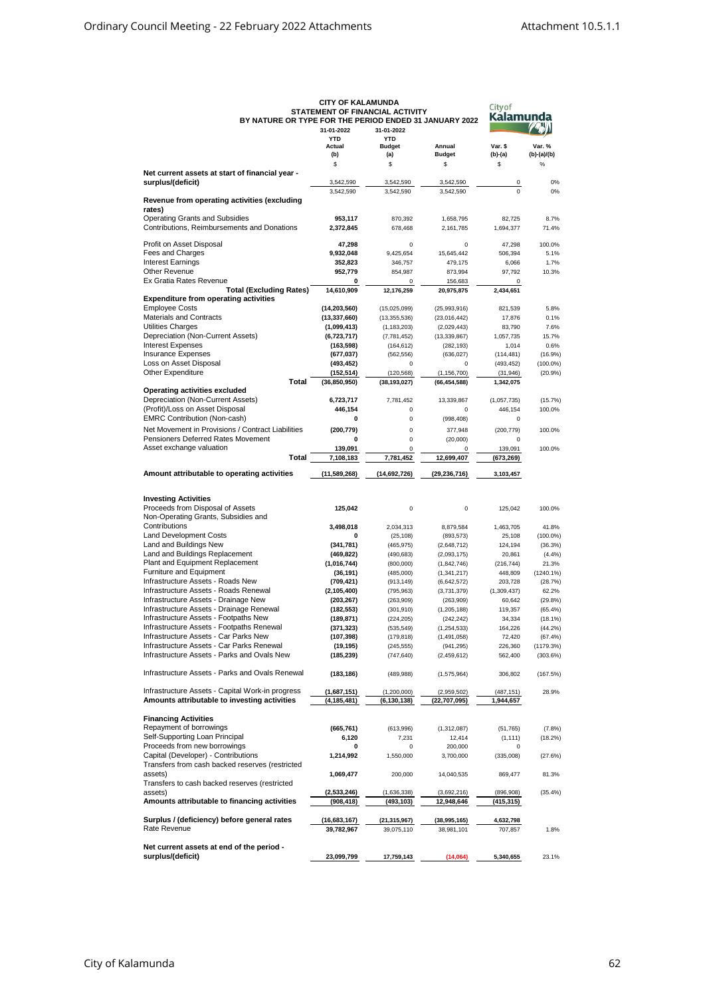|                                                        | <b>CITY OF KALAMUNDA</b>        |                |                | <b>City of</b> |               |
|--------------------------------------------------------|---------------------------------|----------------|----------------|----------------|---------------|
|                                                        | STATEMENT OF FINANCIAL ACTIVITY | Kalamunda      |                |                |               |
| BY NATURE OR TYPE FOR THE PERIOD ENDED 31 JANUARY 2022 |                                 |                |                |                |               |
|                                                        | 31-01-2022                      | 31-01-2022     |                |                |               |
|                                                        | <b>YTD</b>                      | <b>YTD</b>     |                |                |               |
|                                                        | Actual                          | <b>Budget</b>  | Annual         | Var. \$        | Var. %        |
|                                                        | (b)                             | (a)            | <b>Budget</b>  | (b)-(a)        | $(b)-(a)/(b)$ |
|                                                        | \$                              | \$             | \$             | \$             | %             |
| Net current assets at start of financial year -        |                                 |                |                |                |               |
| surplus/(deficit)                                      | 3,542,590                       | 3,542,590      | 3,542,590      | 0              | 0%            |
|                                                        | 3,542,590                       | 3,542,590      | 3,542,590      | $\mathbf 0$    | 0%            |
| Revenue from operating activities (excluding           |                                 |                |                |                |               |
| rates)                                                 |                                 |                |                |                |               |
| <b>Operating Grants and Subsidies</b>                  | 953,117                         | 870,392        | 1,658,795      | 82,725         | 8.7%          |
| Contributions, Reimbursements and Donations            | 2,372,845                       | 678,468        | 2,161,785      | 1,694,377      | 71.4%         |
|                                                        |                                 |                |                |                |               |
| Profit on Asset Disposal                               | 47,298                          | 0              | 0              | 47,298         | 100.0%        |
| Fees and Charges                                       | 9,932,048                       | 9,425,654      | 15,645,442     | 506,394        | 5.1%          |
| <b>Interest Earnings</b>                               | 352,823                         | 346.757        | 479,175        | 6,066          | 1.7%          |
| <b>Other Revenue</b>                                   | 952,779                         | 854,987        | 873,994        | 97,792         | 10.3%         |
| Ex Gratia Rates Revenue                                | 0                               | $\Omega$       | 156,683        | 0              |               |
| <b>Total (Excluding Rates)</b>                         | 14,610,909                      | 12,176,259     | 20,975,875     | 2,434,651      |               |
| <b>Expenditure from operating activities</b>           |                                 |                |                |                |               |
| <b>Employee Costs</b>                                  | (14, 203, 560)                  | (15,025,099)   | (25,993,916)   | 821,539        | 5.8%          |
| <b>Materials and Contracts</b>                         | (13, 337, 660)                  | (13, 355, 536) | (23,016,442)   | 17,876         | 0.1%          |
| Utilities Charges                                      | (1,099,413)                     | (1, 183, 203)  | (2,029,443)    | 83,790         | 7.6%          |
| Depreciation (Non-Current Assets)                      | (6,723,717)                     | (7,781,452)    | (13, 339, 867) | 1,057,735      | 15.7%         |
| <b>Interest Expenses</b>                               | (163, 598)                      | (164, 612)     | (282, 193)     | 1,014          | 0.6%          |
| <b>Insurance Expenses</b>                              | (677,037)                       | (562, 556)     | (636, 027)     | (114, 481)     | (16.9%)       |
| Loss on Asset Disposal                                 | (493, 452)                      | 0              | $\Omega$       | (493, 452)     | $(100.0\%)$   |
| <b>Other Expenditure</b>                               | (152,514)                       | (120, 568)     | (1, 156, 700)  | (31, 946)      | (20.9%        |
| Total                                                  | (36, 850, 950)                  | (38, 193, 027) | (66, 454, 588) | 1,342,075      |               |
| <b>Operating activities excluded</b>                   |                                 |                |                |                |               |
| Depreciation (Non-Current Assets)                      | 6,723,717                       | 7,781,452      | 13,339,867     | (1,057,735)    | (15.7%)       |
| (Profit)/Loss on Asset Disposal                        | 446,154                         | 0              | 0              | 446.154        | 100.0%        |
| <b>EMRC Contribution (Non-cash)</b>                    | 0                               | 0              |                | 0              |               |
|                                                        |                                 |                | (998, 408)     |                |               |
| Net Movement in Provisions / Contract Liabilities      | (200, 779)                      | 0              | 377,948        | (200, 779)     | 100.0%        |
| Pensioners Deferred Rates Movement                     | 0                               | 0              | (20,000)       | 0              |               |
| Asset exchange valuation                               | 139,091                         | 0              | 0              | 139,091        | 100.0%        |
| Total                                                  | 7,108,183                       | 7,781,452      | 12,699,407     | (673,269)      |               |
|                                                        |                                 |                |                |                |               |
| Amount attributable to operating activities            | (11,589,268)                    | (14,692,726)   | (29, 236, 716) | 3,103,457      |               |
|                                                        |                                 |                |                |                |               |
| <b>Investing Activities</b>                            |                                 |                |                |                |               |
| Proceeds from Disposal of Assets                       | 125,042                         | 0              | 0              | 125,042        | 100.0%        |
| Non-Operating Grants, Subsidies and                    |                                 |                |                |                |               |
| Contributions                                          |                                 |                |                |                |               |
|                                                        | 3,498,018                       | 2,034,313      | 8,879,584      | 1,463,705      | 41.8%         |
| <b>Land Development Costs</b>                          | 0                               | (25, 108)      | (893, 573)     | 25,108         | $(100.0\%)$   |
| Land and Buildings New                                 | (341, 781)                      | (465, 975)     | (2,648,712)    | 124,194        | (36.3%)       |
| Land and Buildings Replacement                         | (469, 822)                      | (490, 683)     | (2,093,175)    | 20,861         | (4.4%)        |
| Plant and Equipment Replacement                        | (1,016,744)                     | (800,000)      | (1,842,746)    | (216, 744)     | 21.3%         |
| Furniture and Equipment                                | (36, 191)                       | (485,000)      | (1,341,217)    | 448,809        | $(1240.1\%)$  |
| Infrastructure Assets - Roads New                      | (709,421)                       | (913, 149)     | (6,642,572)    | 203,728        | (28.7%)       |
| Infrastructure Assets - Roads Renewal                  | (2, 105, 400)                   | (795, 963)     | (3,731,379)    | (1,309,437)    | 62.2%         |
| Infrastructure Assets - Drainage New                   | (203, 267)                      | (263,909)      | (263,909)      | 60,642         | (29.8%)       |
| Infrastructure Assets - Drainage Renewal               | (182,553)                       | (301, 910)     | (1,205,188)    | 119,357        | $(65.4\%)$    |
| Infrastructure Assets - Footpaths New                  | (189, 871)                      | (224, 205)     | (242, 242)     | 34,334         | (18.1%)       |
| Infrastructure Assets - Footpaths Renewal              | (371,323)                       | (535, 549)     | (1, 254, 533)  | 164,226        | (44.2%)       |
| Infrastructure Assets - Car Parks New                  | (107,398)                       | (179, 818)     | (1,491,058)    | 72,420         | (67.4%)       |
| Infrastructure Assets - Car Parks Renewal              | (19, 195)                       | (245, 555)     | (941, 295)     | 226,360        | (1179.3%)     |
| Infrastructure Assets - Parks and Ovals New            | (185,239)                       | (747, 640)     | (2,459,612)    | 562,400        | (303.6%)      |
|                                                        |                                 |                |                |                |               |
| Infrastructure Assets - Parks and Ovals Renewal        | (183,186)                       | (489, 988)     | (1,575,964)    | 306,802        | (167.5%)      |
|                                                        |                                 |                |                |                |               |
| Infrastructure Assets - Capital Work-in progress       | (1,687,151)                     | (1,200,000)    | (2,959,502)    | (487,151)      | 28.9%         |
| Amounts attributable to investing activities           | (4,185,481)                     | (6, 130, 138)  | (22, 707, 095) | 1,944,657      |               |
|                                                        |                                 |                |                |                |               |
| <b>Financing Activities</b>                            |                                 |                |                |                |               |
| Repayment of borrowings                                | (665,761)                       | (613,996)      | (1,312,087)    | (51, 765)      | (7.8%)        |
| Self-Supporting Loan Principal                         | 6,120                           | 7,231          | 12,414         | (1, 111)       | (18.2%)       |
| Proceeds from new borrowings                           | 0                               | 0              | 200,000        | 0              |               |
| Capital (Developer) - Contributions                    | 1,214,992                       | 1,550,000      | 3,700,000      | (335,008)      | (27.6%)       |
| Transfers from cash backed reserves (restricted        |                                 |                |                |                |               |
| assets)                                                | 1,069,477                       | 200,000        | 14,040,535     | 869,477        | 81.3%         |
| Transfers to cash backed reserves (restricted          |                                 |                |                |                |               |
|                                                        |                                 |                |                |                |               |
| assets)                                                | (2,533,246)                     | (1,636,338)    | (3,692,216)    | (896, 908)     | (35.4%)       |
| Amounts attributable to financing activities           | (908, 418)                      | (493, 103)     | 12,948,646     | (415,315)      |               |
|                                                        |                                 |                |                |                |               |
| Surplus / (deficiency) before general rates            | (16,683,167)                    | (21, 315, 967) | (38,995,165)   | 4,632,798      |               |
| Rate Revenue                                           | 39,782,967                      | 39,075,110     | 38,981,101     | 707,857        | 1.8%          |
|                                                        |                                 |                |                |                |               |
| Net current assets at end of the period -              |                                 |                |                |                |               |
| surplus/(deficit)                                      | 23,099,799                      | 17,759,143     | (14,064)       | 5,340,655      | 23.1%         |